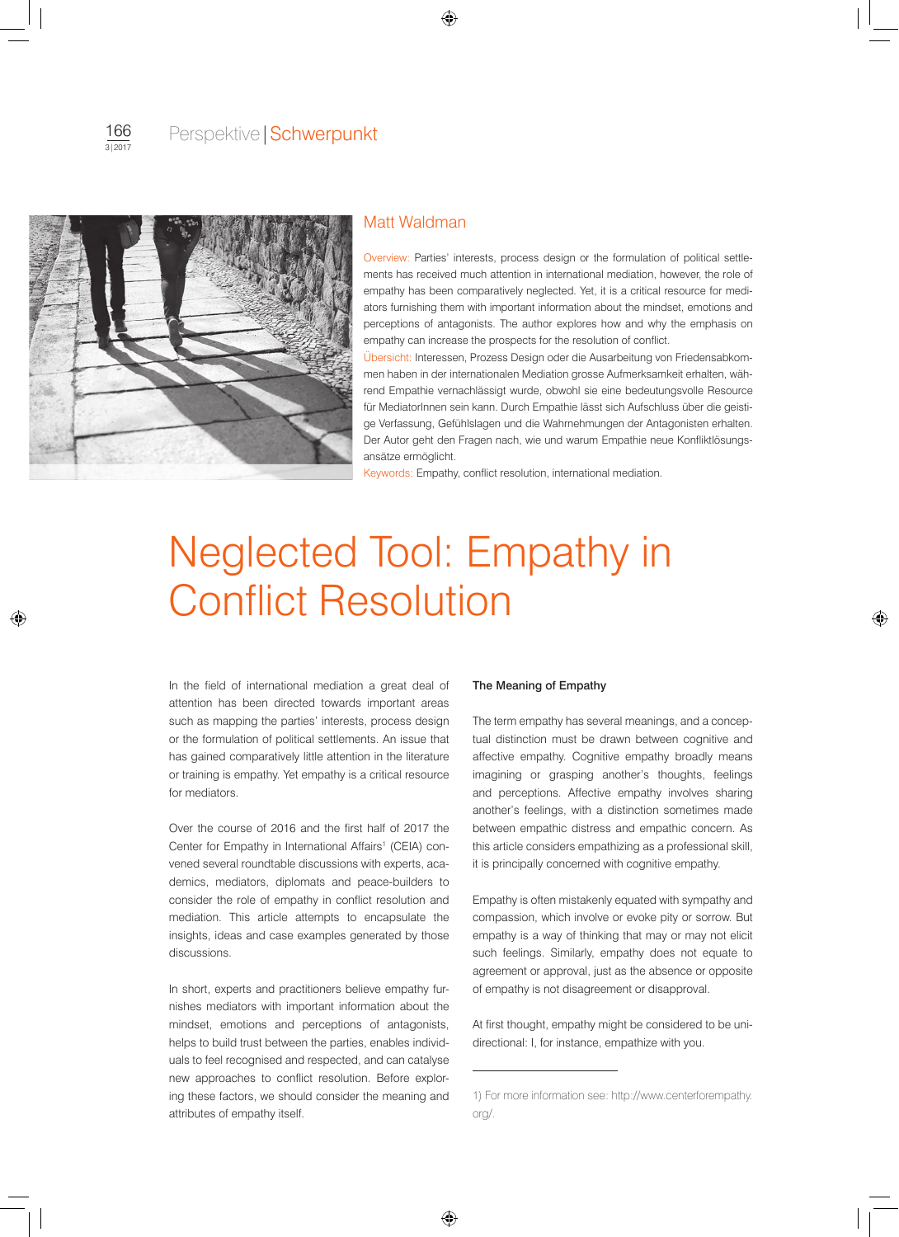

# Matt Waldman

Overview: Parties' interests, process design or the formulation of political settlements has received much attention in international mediation, however, the role of empathy has been comparatively neglected. Yet, it is a critical resource for mediators furnishing them with important information about the mindset, emotions and perceptions of antagonists. The author explores how and why the emphasis on empathy can increase the prospects for the resolution of conflict.

Übersicht: Interessen, Prozess Design oder die Ausarbeitung von Friedensabkommen haben in der internationalen Mediation grosse Aufmerksamkeit erhalten, während Empathie vernachlässigt wurde, obwohl sie eine bedeutungsvolle Resource für MediatorInnen sein kann. Durch Empathie lässt sich Aufschluss über die geistige Verfassung, Gefühlslagen und die Wahrnehmungen der Antagonisten erhalten. Der Autor geht den Fragen nach, wie und warum Empathie neue Konfliktlösungsansätze ermöglicht.

Keywords: Empathy, conflict resolution, international mediation.

# Neglected Tool: Empathy in Conflict Resolution

In the field of international mediation a great deal of attention has been directed towards important areas such as mapping the parties' interests, process design or the formulation of political settlements. An issue that has gained comparatively little attention in the literature or training is empathy. Yet empathy is a critical resource for mediators.

Over the course of 2016 and the first half of 2017 the Center for Empathy in International Affairs<sup>1</sup> (CEIA) convened several roundtable discussions with experts, academics, mediators, diplomats and peace-builders to consider the role of empathy in conflict resolution and mediation. This article attempts to encapsulate the insights, ideas and case examples generated by those discussions.

In short, experts and practitioners believe empathy furnishes mediators with important information about the mindset, emotions and perceptions of antagonists, helps to build trust between the parties, enables individuals to feel recognised and respected, and can catalyse new approaches to conflict resolution. Before exploring these factors, we should consider the meaning and attributes of empathy itself.

### The Meaning of Empathy

The term empathy has several meanings, and a conceptual distinction must be drawn between cognitive and affective empathy. Cognitive empathy broadly means imagining or grasping another's thoughts, feelings and perceptions. Affective empathy involves sharing another's feelings, with a distinction sometimes made between empathic distress and empathic concern. As this article considers empathizing as a professional skill, it is principally concerned with cognitive empathy.

Empathy is often mistakenly equated with sympathy and compassion, which involve or evoke pity or sorrow. But empathy is a way of thinking that may or may not elicit such feelings. Similarly, empathy does not equate to agreement or approval, just as the absence or opposite of empathy is not disagreement or disapproval.

At first thought, empathy might be considered to be unidirectional: I, for instance, empathize with you.

<sup>1)</sup> For more information see: http://www.centerforempathy. org/.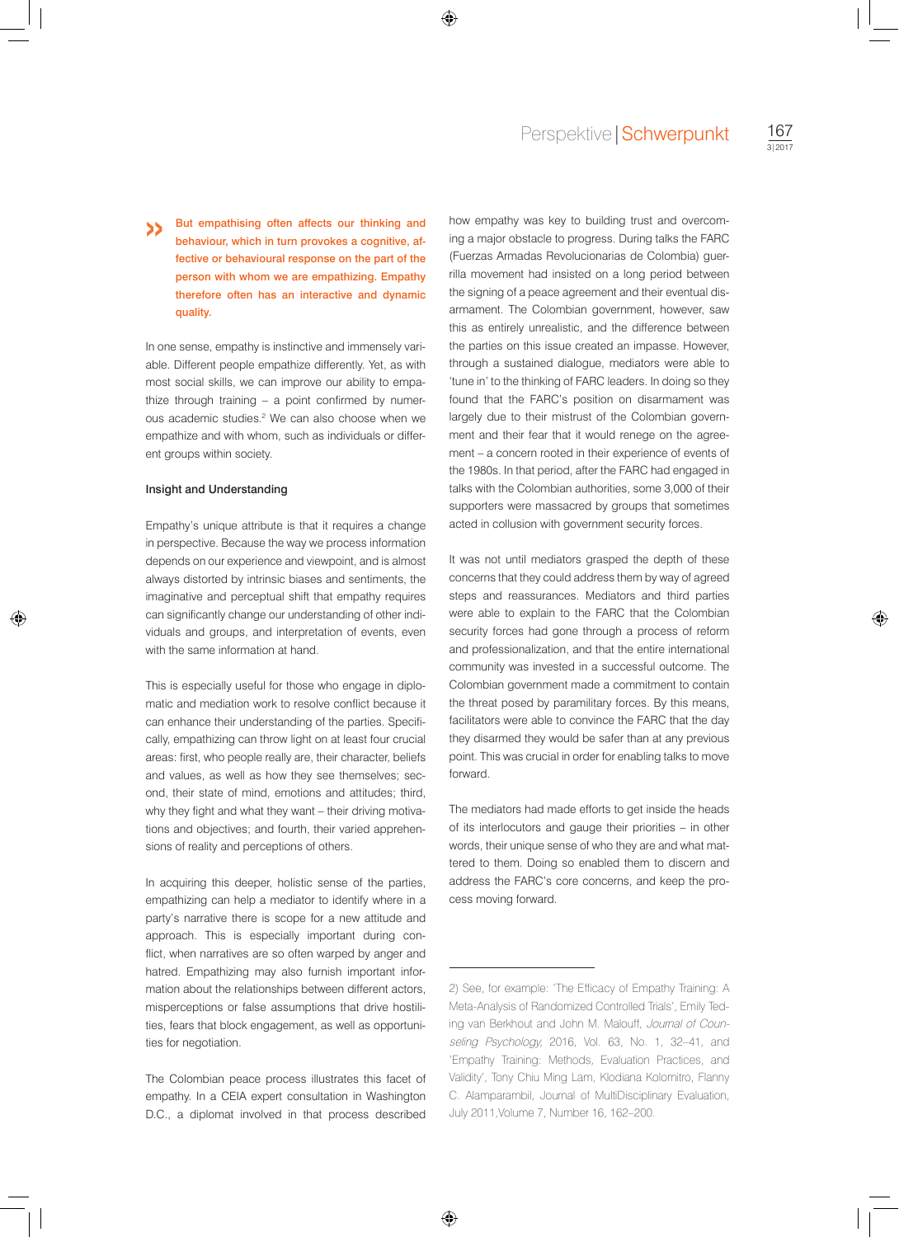But empathising often affects our thinking and behaviour, which in turn provokes a cognitive, affective or behavioural response on the part of the person with whom we are empathizing. Empathy therefore often has an interactive and dynamic quality. »

In one sense, empathy is instinctive and immensely variable. Different people empathize differently. Yet, as with most social skills, we can improve our ability to empathize through training – a point confirmed by numerous academic studies.<sup>2</sup> We can also choose when we empathize and with whom, such as individuals or different groups within society.

## Insight and Understanding

Empathy's unique attribute is that it requires a change in perspective. Because the way we process information depends on our experience and viewpoint, and is almost always distorted by intrinsic biases and sentiments, the imaginative and perceptual shift that empathy requires can significantly change our understanding of other individuals and groups, and interpretation of events, even with the same information at hand.

This is especially useful for those who engage in diplomatic and mediation work to resolve conflict because it can enhance their understanding of the parties. Specifically, empathizing can throw light on at least four crucial areas: first, who people really are, their character, beliefs and values, as well as how they see themselves; second, their state of mind, emotions and attitudes; third, why they fight and what they want – their driving motivations and objectives; and fourth, their varied apprehensions of reality and perceptions of others.

In acquiring this deeper, holistic sense of the parties, empathizing can help a mediator to identify where in a party's narrative there is scope for a new attitude and approach. This is especially important during conflict, when narratives are so often warped by anger and hatred. Empathizing may also furnish important information about the relationships between different actors, misperceptions or false assumptions that drive hostilities, fears that block engagement, as well as opportunities for negotiation.

The Colombian peace process illustrates this facet of empathy. In a CEIA expert consultation in Washington D.C., a diplomat involved in that process described

how empathy was key to building trust and overcoming a major obstacle to progress. During talks the FARC (Fuerzas Armadas Revolucionarias de Colombia) guerrilla movement had insisted on a long period between the signing of a peace agreement and their eventual disarmament. The Colombian government, however, saw this as entirely unrealistic, and the difference between the parties on this issue created an impasse. However, through a sustained dialogue, mediators were able to 'tune in' to the thinking of FARC leaders. In doing so they found that the FARC's position on disarmament was largely due to their mistrust of the Colombian government and their fear that it would renege on the agreement – a concern rooted in their experience of events of the 1980s. In that period, after the FARC had engaged in talks with the Colombian authorities, some 3,000 of their supporters were massacred by groups that sometimes acted in collusion with government security forces.

It was not until mediators grasped the depth of these concerns that they could address them by way of agreed steps and reassurances. Mediators and third parties were able to explain to the FARC that the Colombian security forces had gone through a process of reform and professionalization, and that the entire international community was invested in a successful outcome. The Colombian government made a commitment to contain the threat posed by paramilitary forces. By this means, facilitators were able to convince the FARC that the day they disarmed they would be safer than at any previous point. This was crucial in order for enabling talks to move forward.

The mediators had made efforts to get inside the heads of its interlocutors and gauge their priorities – in other words, their unique sense of who they are and what mattered to them. Doing so enabled them to discern and address the FARC's core concerns, and keep the process moving forward.

<sup>2)</sup> See, for example: 'The Efficacy of Empathy Training: A Meta-Analysis of Randomized Controlled Trials', Emily Teding van Berkhout and John M. Malouff, Journal of Counseling Psychology, 2016, Vol. 63, No. 1, 32-41, and 'Empathy Training: Methods, Evaluation Practices, and Validity', Tony Chiu Ming Lam, Klodiana Kolomitro, Flanny C. Alamparambil, Journal of MultiDisciplinary Evaluation, July 2011,Volume 7, Number 16, 162–200.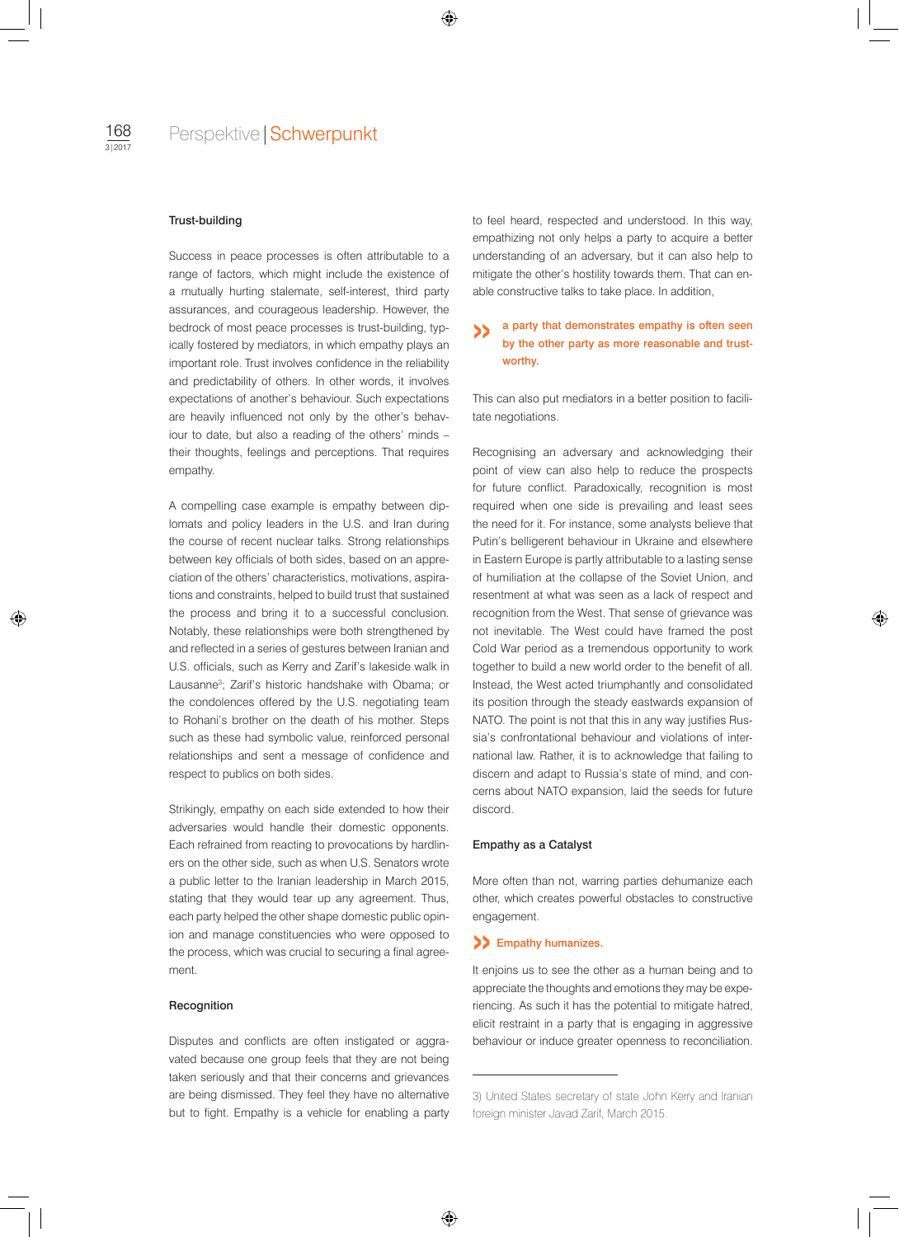### Trust-building

Success in peace processes is often attributable to a range of factors, which might include the existence of a mutually hurting stalemate, self-interest, third party assurances, and courageous leadership. However, the bedrock of most peace processes is trust-building, typically fostered by mediators, in which empathy plays an important role. Trust involves confidence in the reliability and predictability of others. In other words, it involves expectations of another's behaviour. Such expectations are heavily influenced not only by the other's behaviour to date, but also a reading of the others' minds – their thoughts, feelings and perceptions. That requires empathy.

A compelling case example is empathy between diplomats and policy leaders in the U.S. and Iran during the course of recent nuclear talks. Strong relationships between key officials of both sides, based on an appreciation of the others' characteristics, motivations, aspirations and constraints, helped to build trust that sustained the process and bring it to a successful conclusion. Notably, these relationships were both strengthened by and reflected in a series of gestures between Iranian and U.S. officials, such as Kerry and Zarif's lakeside walk in Lausanne3 ; Zarif's historic handshake with Obama; or the condolences offered by the U.S. negotiating team to Rohani's brother on the death of his mother. Steps such as these had symbolic value, reinforced personal relationships and sent a message of confidence and respect to publics on both sides.

Strikingly, empathy on each side extended to how their adversaries would handle their domestic opponents. Each refrained from reacting to provocations by hardliners on the other side, such as when U.S. Senators wrote a public letter to the Iranian leadership in March 2015, stating that they would tear up any agreement. Thus, each party helped the other shape domestic public opinion and manage constituencies who were opposed to the process, which was crucial to securing a final agreement.

#### **Recognition**

Disputes and conflicts are often instigated or aggravated because one group feels that they are not being taken seriously and that their concerns and grievances are being dismissed. They feel they have no alternative but to fight. Empathy is a vehicle for enabling a party

to feel heard, respected and understood. In this way, empathizing not only helps a party to acquire a better understanding of an adversary, but it can also help to mitigate the other's hostility towards them. That can enable constructive talks to take place. In addition,

## a party that demonstrates empathy is often seen by the other party as more reasonable and trustworthy. »

This can also put mediators in a better position to facilitate negotiations.

Recognising an adversary and acknowledging their point of view can also help to reduce the prospects for future conflict. Paradoxically, recognition is most required when one side is prevailing and least sees the need for it. For instance, some analysts believe that Putin's belligerent behaviour in Ukraine and elsewhere in Eastern Europe is partly attributable to a lasting sense of humiliation at the collapse of the Soviet Union, and resentment at what was seen as a lack of respect and recognition from the West. That sense of grievance was not inevitable. The West could have framed the post Cold War period as a tremendous opportunity to work together to build a new world order to the benefit of all. Instead, the West acted triumphantly and consolidated its position through the steady eastwards expansion of NATO. The point is not that this in any way justifies Russia's confrontational behaviour and violations of international law. Rather, it is to acknowledge that failing to discern and adapt to Russia's state of mind, and concerns about NATO expansion, laid the seeds for future discord.

## Empathy as a Catalyst

More often than not, warring parties dehumanize each other, which creates powerful obstacles to constructive engagement.

## >> Empathy humanizes.

It enjoins us to see the other as a human being and to appreciate the thoughts and emotions they may be experiencing. As such it has the potential to mitigate hatred, elicit restraint in a party that is engaging in aggressive behaviour or induce greater openness to reconciliation.

<sup>3)</sup> United States secretary of state John Kerry and Iranian foreign minister Javad Zarif, March 2015.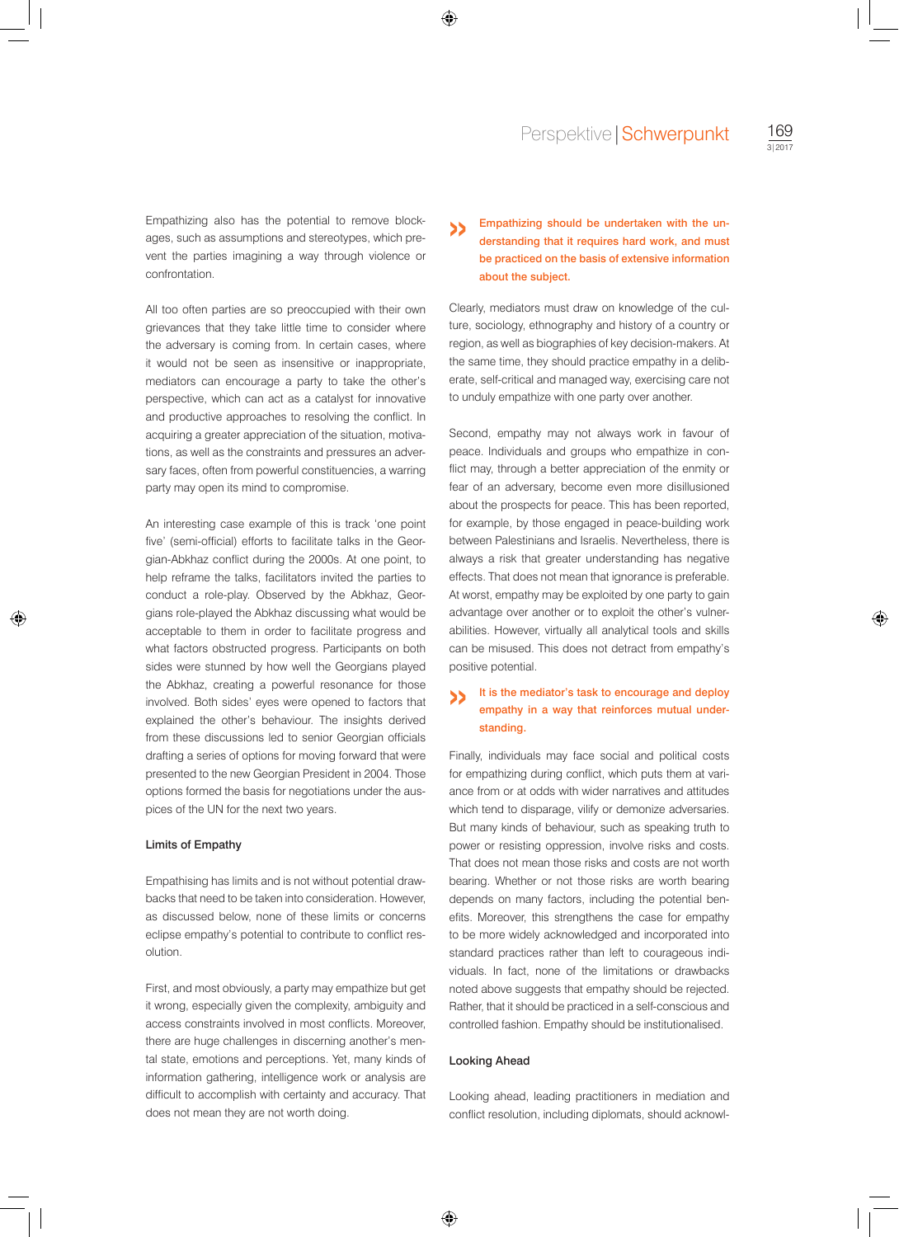Empathizing also has the potential to remove blockages, such as assumptions and stereotypes, which prevent the parties imagining a way through violence or confrontation.

All too often parties are so preoccupied with their own grievances that they take little time to consider where the adversary is coming from. In certain cases, where it would not be seen as insensitive or inappropriate, mediators can encourage a party to take the other's perspective, which can act as a catalyst for innovative and productive approaches to resolving the conflict. In acquiring a greater appreciation of the situation, motivations, as well as the constraints and pressures an adversary faces, often from powerful constituencies, a warring party may open its mind to compromise.

An interesting case example of this is track 'one point five' (semi-official) efforts to facilitate talks in the Georgian-Abkhaz conflict during the 2000s. At one point, to help reframe the talks, facilitators invited the parties to conduct a role-play. Observed by the Abkhaz, Georgians role-played the Abkhaz discussing what would be acceptable to them in order to facilitate progress and what factors obstructed progress. Participants on both sides were stunned by how well the Georgians played the Abkhaz, creating a powerful resonance for those involved. Both sides' eyes were opened to factors that explained the other's behaviour. The insights derived from these discussions led to senior Georgian officials drafting a series of options for moving forward that were presented to the new Georgian President in 2004. Those options formed the basis for negotiations under the auspices of the UN for the next two years.

## Limits of Empathy

Empathising has limits and is not without potential drawbacks that need to be taken into consideration. However, as discussed below, none of these limits or concerns eclipse empathy's potential to contribute to conflict resolution.

First, and most obviously, a party may empathize but get it wrong, especially given the complexity, ambiguity and access constraints involved in most conflicts. Moreover, there are huge challenges in discerning another's mental state, emotions and perceptions. Yet, many kinds of information gathering, intelligence work or analysis are difficult to accomplish with certainty and accuracy. That does not mean they are not worth doing.

#### Empathizing should be undertaken with the understanding that it requires hard work, and must be practiced on the basis of extensive information about the subject. »

Clearly, mediators must draw on knowledge of the culture, sociology, ethnography and history of a country or region, as well as biographies of key decision-makers. At the same time, they should practice empathy in a deliberate, self-critical and managed way, exercising care not to unduly empathize with one party over another.

Second, empathy may not always work in favour of peace. Individuals and groups who empathize in conflict may, through a better appreciation of the enmity or fear of an adversary, become even more disillusioned about the prospects for peace. This has been reported, for example, by those engaged in peace-building work between Palestinians and Israelis. Nevertheless, there is always a risk that greater understanding has negative effects. That does not mean that ignorance is preferable. At worst, empathy may be exploited by one party to gain advantage over another or to exploit the other's vulnerabilities. However, virtually all analytical tools and skills can be misused. This does not detract from empathy's positive potential.

#### It is the mediator's task to encourage and deploy empathy in a way that reinforces mutual understanding. »

Finally, individuals may face social and political costs for empathizing during conflict, which puts them at variance from or at odds with wider narratives and attitudes which tend to disparage, vilify or demonize adversaries. But many kinds of behaviour, such as speaking truth to power or resisting oppression, involve risks and costs. That does not mean those risks and costs are not worth bearing. Whether or not those risks are worth bearing depends on many factors, including the potential benefits. Moreover, this strengthens the case for empathy to be more widely acknowledged and incorporated into standard practices rather than left to courageous individuals. In fact, none of the limitations or drawbacks noted above suggests that empathy should be rejected. Rather, that it should be practiced in a self-conscious and controlled fashion. Empathy should be institutionalised.

#### Looking Ahead

Looking ahead, leading practitioners in mediation and conflict resolution, including diplomats, should acknowl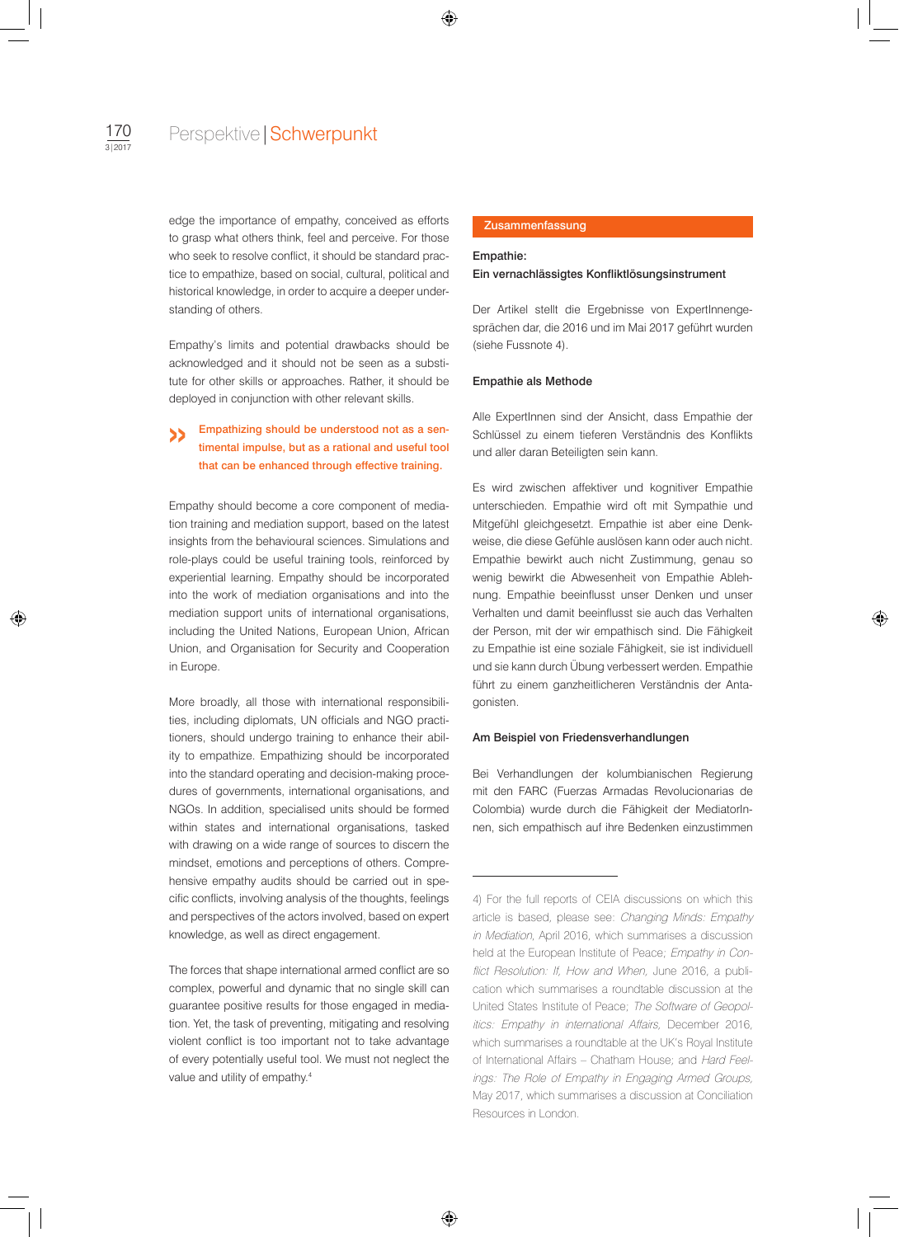edge the importance of empathy, conceived as efforts to grasp what others think, feel and perceive. For those who seek to resolve conflict, it should be standard practice to empathize, based on social, cultural, political and historical knowledge, in order to acquire a deeper understanding of others.

Empathy's limits and potential drawbacks should be acknowledged and it should not be seen as a substitute for other skills or approaches. Rather, it should be deployed in conjunction with other relevant skills.

#### Empathizing should be understood not as a sentimental impulse, but as a rational and useful tool that can be enhanced through effective training. »

Empathy should become a core component of mediation training and mediation support, based on the latest insights from the behavioural sciences. Simulations and role-plays could be useful training tools, reinforced by experiential learning. Empathy should be incorporated into the work of mediation organisations and into the mediation support units of international organisations, including the United Nations, European Union, African Union, and Organisation for Security and Cooperation in Europe.

More broadly, all those with international responsibilities, including diplomats, UN officials and NGO practitioners, should undergo training to enhance their ability to empathize. Empathizing should be incorporated into the standard operating and decision-making procedures of governments, international organisations, and NGOs. In addition, specialised units should be formed within states and international organisations, tasked with drawing on a wide range of sources to discern the mindset, emotions and perceptions of others. Comprehensive empathy audits should be carried out in specific conflicts, involving analysis of the thoughts, feelings and perspectives of the actors involved, based on expert knowledge, as well as direct engagement.

The forces that shape international armed conflict are so complex, powerful and dynamic that no single skill can guarantee positive results for those engaged in mediation. Yet, the task of preventing, mitigating and resolving violent conflict is too important not to take advantage of every potentially useful tool. We must not neglect the value and utility of empathy.4

## Zusammenfassung

# Empathie: Ein vernachlässigtes Konfliktlösungsinstrument

Der Artikel stellt die Ergebnisse von ExpertInnengesprächen dar, die 2016 und im Mai 2017 geführt wurden (siehe Fussnote 4).

#### Empathie als Methode

Alle ExpertInnen sind der Ansicht, dass Empathie der Schlüssel zu einem tieferen Verständnis des Konflikts und aller daran Beteiligten sein kann.

Es wird zwischen affektiver und kognitiver Empathie unterschieden. Empathie wird oft mit Sympathie und Mitgefühl gleichgesetzt. Empathie ist aber eine Denkweise, die diese Gefühle auslösen kann oder auch nicht. Empathie bewirkt auch nicht Zustimmung, genau so wenig bewirkt die Abwesenheit von Empathie Ablehnung. Empathie beeinflusst unser Denken und unser Verhalten und damit beeinflusst sie auch das Verhalten der Person, mit der wir empathisch sind. Die Fähigkeit zu Empathie ist eine soziale Fähigkeit, sie ist individuell und sie kann durch Übung verbessert werden. Empathie führt zu einem ganzheitlicheren Verständnis der Antagonisten.

## Am Beispiel von Friedensverhandlungen

Bei Verhandlungen der kolumbianischen Regierung mit den FARC (Fuerzas Armadas Revolucionarias de Colombia) wurde durch die Fähigkeit der MediatorInnen, sich empathisch auf ihre Bedenken einzustimmen

<sup>4)</sup> For the full reports of CEIA discussions on which this article is based, please see: Changing Minds: Empathy in Mediation, April 2016, which summarises a discussion held at the European Institute of Peace; Empathy in Conflict Resolution: If, How and When, June 2016, a publication which summarises a roundtable discussion at the United States Institute of Peace; The Software of Geopolitics: Empathy in international Affairs, December 2016, which summarises a roundtable at the UK's Royal Institute of International Affairs – Chatham House; and Hard Feelings: The Role of Empathy in Engaging Armed Groups, May 2017, which summarises a discussion at Conciliation Resources in London.